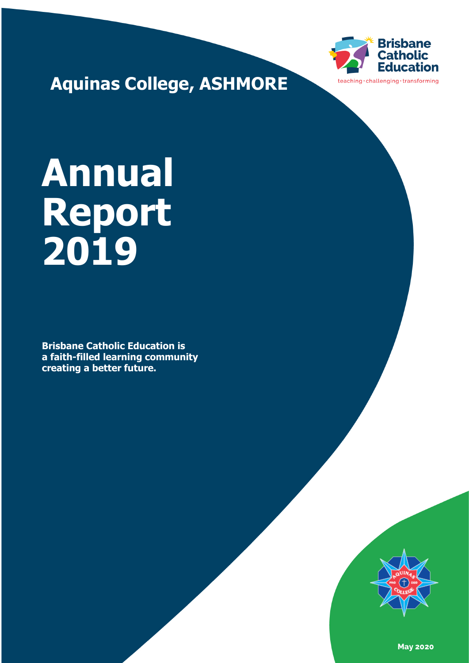

**Aquinas College, ASHMORE**

# **Annual Report 2019**

**Brisbane Catholic Education is a faith-filled learning community creating a better future.** 



**May 2020**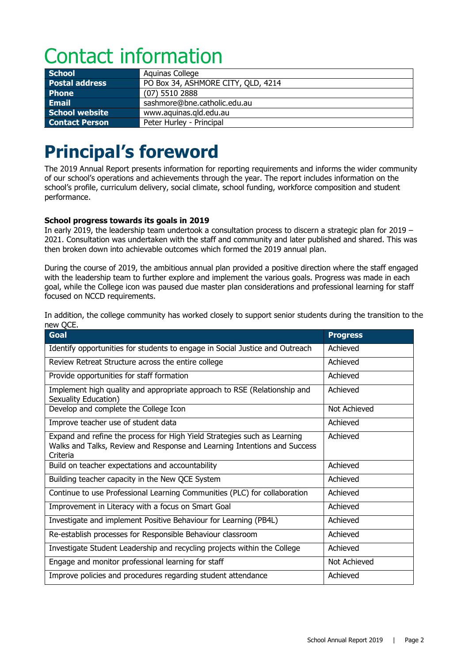# Contact information

| School                | Aquinas College                    |
|-----------------------|------------------------------------|
| <b>Postal address</b> | PO Box 34, ASHMORE CITY, QLD, 4214 |
| <b>Phone</b>          | $(07)$ 5510 2888                   |
| Email                 | sashmore@bne.catholic.edu.au       |
| <b>School website</b> | www.aquinas.gld.edu.au             |
| <b>Contact Person</b> | Peter Hurley - Principal           |

# **Principal's foreword**

The 2019 Annual Report presents information for reporting requirements and informs the wider community of our school's operations and achievements through the year. The report includes information on the school's profile, curriculum delivery, social climate, school funding, workforce composition and student performance.

#### **School progress towards its goals in 2019**

In early 2019, the leadership team undertook a consultation process to discern a strategic plan for 2019 – 2021. Consultation was undertaken with the staff and community and later published and shared. This was then broken down into achievable outcomes which formed the 2019 annual plan.

During the course of 2019, the ambitious annual plan provided a positive direction where the staff engaged with the leadership team to further explore and implement the various goals. Progress was made in each goal, while the College icon was paused due master plan considerations and professional learning for staff focused on NCCD requirements.

In addition, the college community has worked closely to support senior students during the transition to the new QCE.

| ICM YOU.<br>Goal                                                                                                                                                 | <b>Progress</b> |
|------------------------------------------------------------------------------------------------------------------------------------------------------------------|-----------------|
| Identify opportunities for students to engage in Social Justice and Outreach                                                                                     | Achieved        |
| Review Retreat Structure across the entire college                                                                                                               | Achieved        |
| Provide opportunities for staff formation                                                                                                                        | Achieved        |
| Implement high quality and appropriate approach to RSE (Relationship and<br>Sexuality Education)                                                                 | Achieved        |
| Develop and complete the College Icon                                                                                                                            | Not Achieved    |
| Improve teacher use of student data                                                                                                                              | Achieved        |
| Expand and refine the process for High Yield Strategies such as Learning<br>Walks and Talks, Review and Response and Learning Intentions and Success<br>Criteria | Achieved        |
| Build on teacher expectations and accountability                                                                                                                 | Achieved        |
| Building teacher capacity in the New QCE System                                                                                                                  | Achieved        |
| Continue to use Professional Learning Communities (PLC) for collaboration                                                                                        | Achieved        |
| Improvement in Literacy with a focus on Smart Goal                                                                                                               | Achieved        |
| Investigate and implement Positive Behaviour for Learning (PB4L)                                                                                                 | Achieved        |
| Re-establish processes for Responsible Behaviour classroom                                                                                                       | Achieved        |
| Investigate Student Leadership and recycling projects within the College                                                                                         | Achieved        |
| Engage and monitor professional learning for staff                                                                                                               | Not Achieved    |
| Improve policies and procedures regarding student attendance                                                                                                     | Achieved        |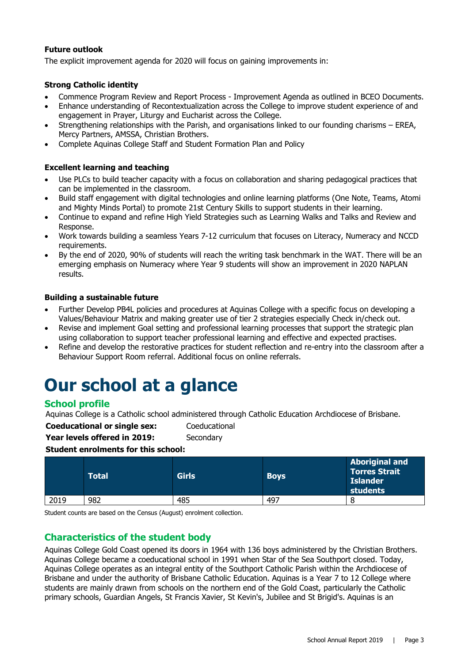#### **Future outlook**

The explicit improvement agenda for 2020 will focus on gaining improvements in:

#### **Strong Catholic identity**

- Commence Program Review and Report Process Improvement Agenda as outlined in BCEO Documents.
- Enhance understanding of Recontextualization across the College to improve student experience of and engagement in Prayer, Liturgy and Eucharist across the College.
- Strengthening relationships with the Parish, and organisations linked to our founding charisms EREA, Mercy Partners, AMSSA, Christian Brothers.
- Complete Aquinas College Staff and Student Formation Plan and Policy

#### **Excellent learning and teaching**

- Use PLCs to build teacher capacity with a focus on collaboration and sharing pedagogical practices that can be implemented in the classroom.
- Build staff engagement with digital technologies and online learning platforms (One Note, Teams, Atomi and Mighty Minds Portal) to promote 21st Century Skills to support students in their learning.
- Continue to expand and refine High Yield Strategies such as Learning Walks and Talks and Review and Response.
- Work towards building a seamless Years 7-12 curriculum that focuses on Literacy, Numeracy and NCCD requirements.
- By the end of 2020, 90% of students will reach the writing task benchmark in the WAT. There will be an emerging emphasis on Numeracy where Year 9 students will show an improvement in 2020 NAPLAN results.

#### **Building a sustainable future**

- Further Develop PB4L policies and procedures at Aquinas College with a specific focus on developing a Values/Behaviour Matrix and making greater use of tier 2 strategies especially Check in/check out.
- Revise and implement Goal setting and professional learning processes that support the strategic plan using collaboration to support teacher professional learning and effective and expected practises.
- Refine and develop the restorative practices for student reflection and re-entry into the classroom after a Behaviour Support Room referral. Additional focus on online referrals.

## **Our school at a glance**

#### **School profile**

Aquinas College is a Catholic school administered through Catholic Education Archdiocese of Brisbane.

**Coeducational or single sex:** Coeducational

**Year levels offered in 2019:** Secondary

#### **Student enrolments for this school:**

|      | Total | <b>Girls</b> | <b>Boys</b> | <b>Aboriginal and</b><br><b>Torres Strait</b><br><b>Islander</b><br>students |
|------|-------|--------------|-------------|------------------------------------------------------------------------------|
| 2019 | 982   | 485          | 497         | 8                                                                            |

Student counts are based on the Census (August) enrolment collection.

#### **Characteristics of the student body**

Aquinas College Gold Coast opened its doors in 1964 with 136 boys administered by the Christian Brothers. Aquinas College became a coeducational school in 1991 when Star of the Sea Southport closed. Today, Aquinas College operates as an integral entity of the Southport Catholic Parish within the Archdiocese of Brisbane and under the authority of Brisbane Catholic Education. Aquinas is a Year 7 to 12 College where students are mainly drawn from schools on the northern end of the Gold Coast, particularly the Catholic primary schools, Guardian Angels, St Francis Xavier, St Kevin's, Jubilee and St Brigid's. Aquinas is an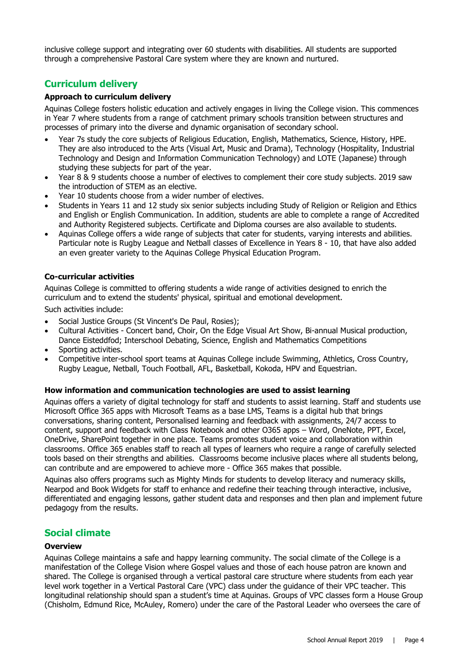inclusive college support and integrating over 60 students with disabilities. All students are supported through a comprehensive Pastoral Care system where they are known and nurtured.

#### **Curriculum delivery**

#### **Approach to curriculum delivery**

Aquinas College fosters holistic education and actively engages in living the College vision. This commences in Year 7 where students from a range of catchment primary schools transition between structures and processes of primary into the diverse and dynamic organisation of secondary school.

- Year 7s study the core subjects of Religious Education, English, Mathematics, Science, History, HPE. They are also introduced to the Arts (Visual Art, Music and Drama), Technology (Hospitality, Industrial Technology and Design and Information Communication Technology) and LOTE (Japanese) through studying these subjects for part of the year.
- Year 8 & 9 students choose a number of electives to complement their core study subjects. 2019 saw the introduction of STEM as an elective.
- Year 10 students choose from a wider number of electives.
- Students in Years 11 and 12 study six senior subjects including Study of Religion or Religion and Ethics and English or English Communication. In addition, students are able to complete a range of Accredited and Authority Registered subjects. Certificate and Diploma courses are also available to students.
- Aquinas College offers a wide range of subjects that cater for students, varying interests and abilities. Particular note is Rugby League and Netball classes of Excellence in Years 8 - 10, that have also added an even greater variety to the Aquinas College Physical Education Program.

#### **Co-curricular activities**

Aquinas College is committed to offering students a wide range of activities designed to enrich the curriculum and to extend the students' physical, spiritual and emotional development.

Such activities include:

- Social Justice Groups (St Vincent's De Paul, Rosies);
- Cultural Activities Concert band, Choir, On the Edge Visual Art Show, Bi-annual Musical production, Dance Eisteddfod; Interschool Debating, Science, English and Mathematics Competitions
- Sporting activities.
- Competitive inter-school sport teams at Aquinas College include Swimming, Athletics, Cross Country, Rugby League, Netball, Touch Football, AFL, Basketball, Kokoda, HPV and Equestrian.

#### **How information and communication technologies are used to assist learning**

Aquinas offers a variety of digital technology for staff and students to assist learning. Staff and students use Microsoft Office 365 apps with Microsoft Teams as a base LMS, Teams is a digital hub that brings conversations, sharing content, Personalised learning and feedback with assignments, 24/7 access to content, support and feedback with Class Notebook and other O365 apps – Word, OneNote, PPT, Excel, OneDrive, SharePoint together in one place. Teams promotes student voice and collaboration within classrooms. Office 365 enables staff to reach all types of learners who require a range of carefully selected tools based on their strengths and abilities. Classrooms become inclusive places where all students belong, can contribute and are empowered to achieve more - Office 365 makes that possible.

Aquinas also offers programs such as Mighty Minds for students to develop literacy and numeracy skills, Nearpod and Book Widgets for staff to enhance and redefine their teaching through interactive, inclusive, differentiated and engaging lessons, gather student data and responses and then plan and implement future pedagogy from the results.

#### **Social climate**

#### **Overview**

Aquinas College maintains a safe and happy learning community. The social climate of the College is a manifestation of the College Vision where Gospel values and those of each house patron are known and shared. The College is organised through a vertical pastoral care structure where students from each year level work together in a Vertical Pastoral Care (VPC) class under the guidance of their VPC teacher. This longitudinal relationship should span a student's time at Aquinas. Groups of VPC classes form a House Group (Chisholm, Edmund Rice, McAuley, Romero) under the care of the Pastoral Leader who oversees the care of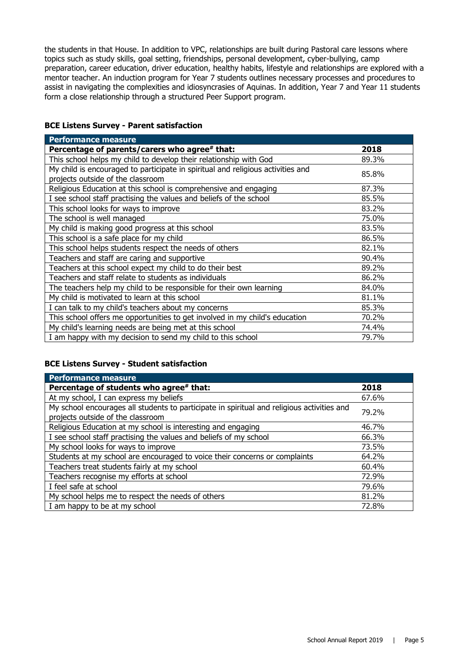the students in that House. In addition to VPC, relationships are built during Pastoral care lessons where topics such as study skills, goal setting, friendships, personal development, cyber-bullying, camp preparation, career education, driver education, healthy habits, lifestyle and relationships are explored with a mentor teacher. An induction program for Year 7 students outlines necessary processes and procedures to assist in navigating the complexities and idiosyncrasies of Aquinas. In addition, Year 7 and Year 11 students form a close relationship through a structured Peer Support program.

#### **BCE Listens Survey - Parent satisfaction**

| <b>Performance measure</b>                                                                                           |       |
|----------------------------------------------------------------------------------------------------------------------|-------|
| Percentage of parents/carers who agree# that:                                                                        | 2018  |
| This school helps my child to develop their relationship with God                                                    | 89.3% |
| My child is encouraged to participate in spiritual and religious activities and<br>projects outside of the classroom | 85.8% |
| Religious Education at this school is comprehensive and engaging                                                     | 87.3% |
| I see school staff practising the values and beliefs of the school                                                   | 85.5% |
| This school looks for ways to improve                                                                                | 83.2% |
| The school is well managed                                                                                           | 75.0% |
| My child is making good progress at this school                                                                      | 83.5% |
| This school is a safe place for my child                                                                             | 86.5% |
| This school helps students respect the needs of others                                                               | 82.1% |
| Teachers and staff are caring and supportive                                                                         | 90.4% |
| Teachers at this school expect my child to do their best                                                             | 89.2% |
| Teachers and staff relate to students as individuals                                                                 | 86.2% |
| The teachers help my child to be responsible for their own learning                                                  | 84.0% |
| My child is motivated to learn at this school                                                                        | 81.1% |
| I can talk to my child's teachers about my concerns                                                                  | 85.3% |
| This school offers me opportunities to get involved in my child's education                                          | 70.2% |
| My child's learning needs are being met at this school                                                               | 74.4% |
| I am happy with my decision to send my child to this school                                                          | 79.7% |

#### **BCE Listens Survey - Student satisfaction**

| Performance measure                                                                                                             |       |
|---------------------------------------------------------------------------------------------------------------------------------|-------|
| Percentage of students who agree# that:                                                                                         | 2018  |
| At my school, I can express my beliefs                                                                                          | 67.6% |
| My school encourages all students to participate in spiritual and religious activities and<br>projects outside of the classroom | 79.2% |
| Religious Education at my school is interesting and engaging                                                                    | 46.7% |
| I see school staff practising the values and beliefs of my school                                                               | 66.3% |
| My school looks for ways to improve                                                                                             | 73.5% |
| Students at my school are encouraged to voice their concerns or complaints                                                      | 64.2% |
| Teachers treat students fairly at my school                                                                                     | 60.4% |
| Teachers recognise my efforts at school                                                                                         | 72.9% |
| I feel safe at school                                                                                                           | 79.6% |
| My school helps me to respect the needs of others                                                                               | 81.2% |
| I am happy to be at my school                                                                                                   | 72.8% |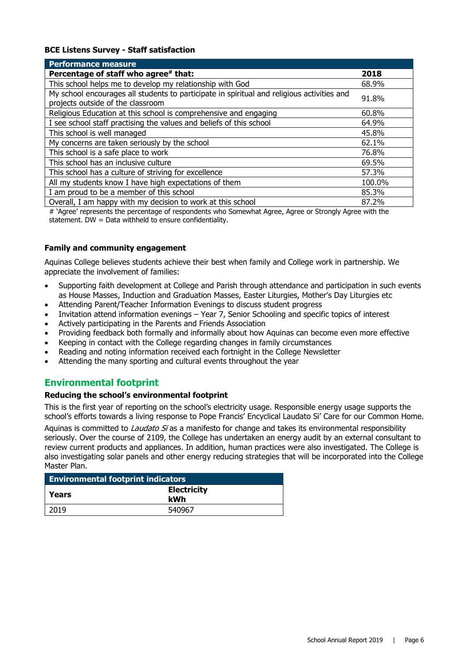#### **BCE Listens Survey - Staff satisfaction**

| <b>Performance measure</b>                                                                                                      |        |
|---------------------------------------------------------------------------------------------------------------------------------|--------|
| Percentage of staff who agree# that:                                                                                            | 2018   |
| This school helps me to develop my relationship with God                                                                        | 68.9%  |
| My school encourages all students to participate in spiritual and religious activities and<br>projects outside of the classroom | 91.8%  |
| Religious Education at this school is comprehensive and engaging                                                                | 60.8%  |
| I see school staff practising the values and beliefs of this school                                                             | 64.9%  |
| This school is well managed                                                                                                     | 45.8%  |
| My concerns are taken seriously by the school                                                                                   | 62.1%  |
| This school is a safe place to work                                                                                             | 76.8%  |
| This school has an inclusive culture                                                                                            | 69.5%  |
| This school has a culture of striving for excellence                                                                            | 57.3%  |
| All my students know I have high expectations of them                                                                           | 100.0% |
| I am proud to be a member of this school                                                                                        | 85.3%  |
| Overall, I am happy with my decision to work at this school                                                                     | 87.2%  |

# 'Agree' represents the percentage of respondents who Somewhat Agree, Agree or Strongly Agree with the statement. DW = Data withheld to ensure confidentiality.

#### **Family and community engagement**

Aquinas College believes students achieve their best when family and College work in partnership. We appreciate the involvement of families:

- Supporting faith development at College and Parish through attendance and participation in such events as House Masses, Induction and Graduation Masses, Easter Liturgies, Mother's Day Liturgies etc
- Attending Parent/Teacher Information Evenings to discuss student progress
- Invitation attend information evenings Year 7, Senior Schooling and specific topics of interest
- Actively participating in the Parents and Friends Association
- Providing feedback both formally and informally about how Aquinas can become even more effective
- Keeping in contact with the College regarding changes in family circumstances
- Reading and noting information received each fortnight in the College Newsletter
- Attending the many sporting and cultural events throughout the year

#### **Environmental footprint**

#### **Reducing the school's environmental footprint**

This is the first year of reporting on the school's electricity usage. Responsible energy usage supports the school's efforts towards a living response to Pope Francis' Encyclical Laudato Si' Care for our Common Home.

Aquinas is committed to *Laudato Si* as a manifesto for change and takes its environmental responsibility seriously. Over the course of 2109, the College has undertaken an energy audit by an external consultant to review current products and appliances. In addition, human practices were also investigated. The College is also investigating solar panels and other energy reducing strategies that will be incorporated into the College Master Plan.

| <b>Environmental footprint indicators</b> |                           |  |
|-------------------------------------------|---------------------------|--|
| l Years                                   | <b>Electricity</b><br>kWh |  |
| 2019                                      | 540967                    |  |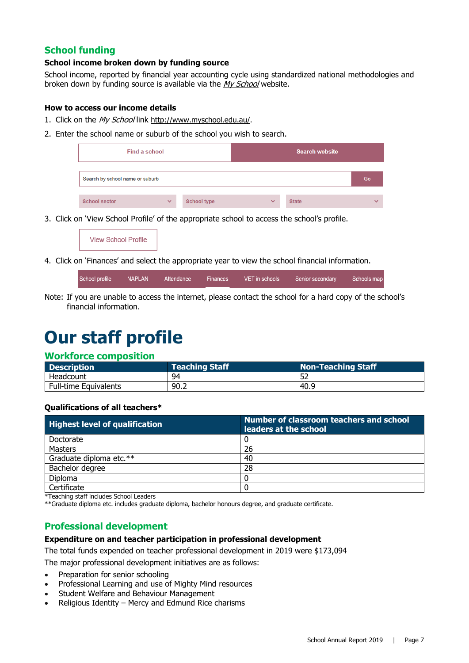#### **School funding**

#### **School income broken down by funding source**

School income, reported by financial year accounting cycle using standardized national methodologies and broken down by funding source is available via the [My School](http://www.myschool.edu.au/) website.

#### **How to access our income details**

- 1. Click on the My School link [http://www.myschool.edu.au/.](http://www.myschool.edu.au/)
- 2. Enter the school name or suburb of the school you wish to search.



3. Click on 'View School Profile' of the appropriate school to access the school's profile.

| <b>View School Profile</b> |  |
|----------------------------|--|
|----------------------------|--|

4. Click on 'Finances' and select the appropriate year to view the school financial information.

| School profile | <b>NAPLAN</b> | Attendance | <b>Finances</b> | VET in schools | Senior secondary | Schools map |
|----------------|---------------|------------|-----------------|----------------|------------------|-------------|
|                |               |            |                 |                |                  |             |

Note: If you are unable to access the internet, please contact the school for a hard copy of the school's financial information.

## **Our staff profile**

#### **Workforce composition**

| <b>Description</b>    | <b>Teaching Staff</b> | <b>Non-Teaching Staff</b> |
|-----------------------|-----------------------|---------------------------|
| Headcount             | 94                    |                           |
| Full-time Equivalents | 90.2                  | 40.9                      |

#### **Qualifications of all teachers\***

| <b>Highest level of qualification</b> | Number of classroom teachers and school<br>leaders at the school |
|---------------------------------------|------------------------------------------------------------------|
| Doctorate                             |                                                                  |
| Masters                               | 26                                                               |
| Graduate diploma etc.**               | 40                                                               |
| Bachelor degree                       | 28                                                               |
| <b>Diploma</b>                        |                                                                  |
| Certificate                           |                                                                  |

\*Teaching staff includes School Leaders

\*\*Graduate diploma etc. includes graduate diploma, bachelor honours degree, and graduate certificate.

#### **Professional development**

#### **Expenditure on and teacher participation in professional development**

The total funds expended on teacher professional development in 2019 were \$173,094

The major professional development initiatives are as follows:

- Preparation for senior schooling
- Professional Learning and use of Mighty Mind resources
- Student Welfare and Behaviour Management
- Religious Identity Mercy and Edmund Rice charisms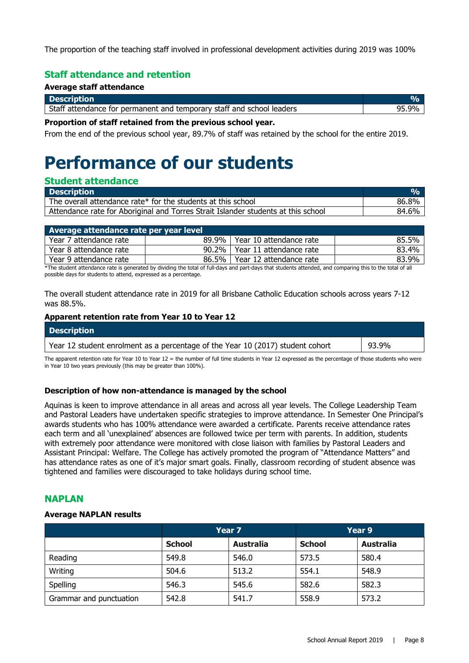The proportion of the teaching staff involved in professional development activities during 2019 was 100%

#### **Staff attendance and retention**

#### **Average staff attendance**

| <b>Description</b>                                                    |      |
|-----------------------------------------------------------------------|------|
| Staff attendance for permanent and temporary staff and school leaders | . 9% |

#### **Proportion of staff retained from the previous school year.**

From the end of the previous school year, 89.7% of staff was retained by the school for the entire 2019.

# **Performance of our students**

#### **Student attendance**

| <b>Description</b>                                                                | O/n   |
|-----------------------------------------------------------------------------------|-------|
| The overall attendance rate* for the students at this school                      | 86.8% |
| Attendance rate for Aboriginal and Torres Strait Islander students at this school | 84.6% |

| Average attendance rate per year level |  |                                 |       |  |
|----------------------------------------|--|---------------------------------|-------|--|
| Year 7 attendance rate                 |  | 89.9%   Year 10 attendance rate | 85.5% |  |
| Year 8 attendance rate                 |  | 90.2%   Year 11 attendance rate | 83.4% |  |
| Year 9 attendance rate                 |  | 86.5%   Year 12 attendance rate | 83.9% |  |
|                                        |  |                                 |       |  |

\*The student attendance rate is generated by dividing the total of full-days and part-days that students attended, and comparing this to the total of all possible days for students to attend, expressed as a percentage.

The overall student attendance rate in 2019 for all Brisbane Catholic Education schools across years 7-12 was 88.5%.

#### **Apparent retention rate from Year 10 to Year 12**

| <b>Description</b>                                                             |       |
|--------------------------------------------------------------------------------|-------|
| Year 12 student enrolment as a percentage of the Year 10 (2017) student cohort | 93.9% |

The apparent retention rate for Year 10 to Year 12 = the number of full time students in Year 12 expressed as the percentage of those students who were in Year 10 two years previously (this may be greater than 100%).

#### **Description of how non-attendance is managed by the school**

Aquinas is keen to improve attendance in all areas and across all year levels. The College Leadership Team and Pastoral Leaders have undertaken specific strategies to improve attendance. In Semester One Principal's awards students who has 100% attendance were awarded a certificate. Parents receive attendance rates each term and all 'unexplained' absences are followed twice per term with parents. In addition, students with extremely poor attendance were monitored with close liaison with families by Pastoral Leaders and Assistant Principal: Welfare. The College has actively promoted the program of "Attendance Matters" and has attendance rates as one of it's major smart goals. Finally, classroom recording of student absence was tightened and families were discouraged to take holidays during school time.

#### **NAPLAN**

#### **Average NAPLAN results**

|                         | Year <sub>7</sub> |                  | Year 9        |                  |
|-------------------------|-------------------|------------------|---------------|------------------|
|                         | <b>School</b>     | <b>Australia</b> | <b>School</b> | <b>Australia</b> |
| Reading                 | 549.8             | 546.0            | 573.5         | 580.4            |
| Writing                 | 504.6             | 513.2            | 554.1         | 548.9            |
| Spelling                | 546.3             | 545.6            | 582.6         | 582.3            |
| Grammar and punctuation | 542.8             | 541.7            | 558.9         | 573.2            |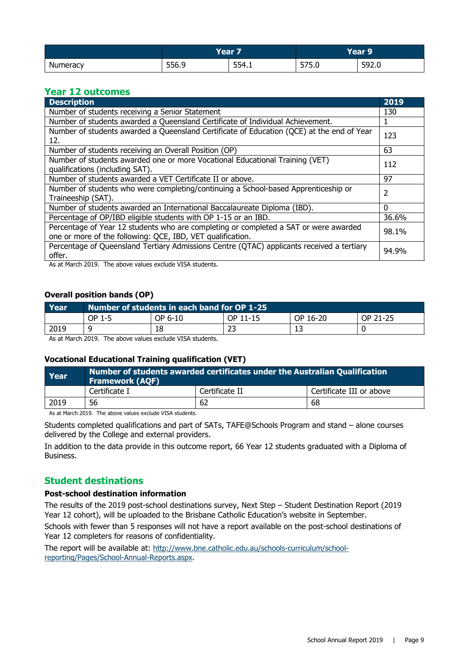|          | Vosr<br>сан |       | Year 9'               |       |
|----------|-------------|-------|-----------------------|-------|
| Numeracy | 556.9       | 554.1 | $- - -$<br>-<br>J7J.V | 592.0 |

#### **Year 12 outcomes**

| <b>Description</b>                                                                                                                                 | 2019     |  |
|----------------------------------------------------------------------------------------------------------------------------------------------------|----------|--|
| Number of students receiving a Senior Statement                                                                                                    | 130      |  |
| Number of students awarded a Queensland Certificate of Individual Achievement.                                                                     |          |  |
| Number of students awarded a Queensland Certificate of Education (QCE) at the end of Year<br>12.                                                   |          |  |
| Number of students receiving an Overall Position (OP)                                                                                              | 63       |  |
| Number of students awarded one or more Vocational Educational Training (VET)<br>qualifications (including SAT).                                    | 112      |  |
| Number of students awarded a VET Certificate II or above.                                                                                          | 97       |  |
| Number of students who were completing/continuing a School-based Apprenticeship or<br>Traineeship (SAT).                                           | 2        |  |
| Number of students awarded an International Baccalaureate Diploma (IBD).                                                                           | $\Omega$ |  |
| Percentage of OP/IBD eligible students with OP 1-15 or an IBD.                                                                                     | 36.6%    |  |
| Percentage of Year 12 students who are completing or completed a SAT or were awarded<br>one or more of the following: QCE, IBD, VET qualification. | 98.1%    |  |
| Percentage of Queensland Tertiary Admissions Centre (QTAC) applicants received a tertiary<br>offer.                                                | 94.9%    |  |

As at March 2019. The above values exclude VISA students.

#### **Overall position bands (OP)**

| Year | Number of students in each band for OP 1-25 |         |          |          |          |
|------|---------------------------------------------|---------|----------|----------|----------|
|      | OP 1-5                                      | OP 6-10 | OP 11-15 | OP 16-20 | OP 21-25 |
| 2019 |                                             | 18      | 23       |          |          |

As at March 2019. The above values exclude VISA students.

#### **Vocational Educational Training qualification (VET)**

| Year | Number of students awarded certificates under the Australian Qualification<br><b>Framework (AQF)</b> |                |                          |  |  |
|------|------------------------------------------------------------------------------------------------------|----------------|--------------------------|--|--|
|      | Certificate I                                                                                        | Certificate II | Certificate III or above |  |  |
| 2019 | 56                                                                                                   | 62             | 68                       |  |  |

As at March 2019. The above values exclude VISA students.

Students completed qualifications and part of SATs, TAFE@Schools Program and stand – alone courses delivered by the College and external providers.

In addition to the data provide in this outcome report, 66 Year 12 students graduated with a Diploma of Business.

#### **Student destinations**

#### **Post-school destination information**

The results of the 2019 post-school destinations survey, Next Step – Student Destination Report (2019 Year 12 cohort), will be uploaded to the Brisbane Catholic Education's website in September.

Schools with fewer than 5 responses will not have a report available on the post-school destinations of Year 12 completers for reasons of confidentiality.

The report will be available at: [http://www.bne.catholic.edu.au/schools-curriculum/school](http://www.bne.catholic.edu.au/schools-curriculum/school-reporting/Pages/School-Annual-Reports.aspx)[reporting/Pages/School-Annual-Reports.aspx.](http://www.bne.catholic.edu.au/schools-curriculum/school-reporting/Pages/School-Annual-Reports.aspx)